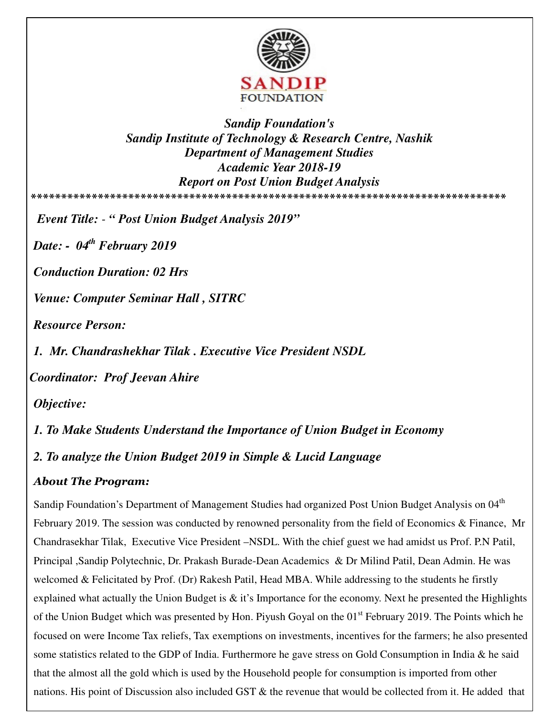

*Sandip Foundation's Sandip Institute of Technology & Research Centre, Nashik Department of Management Studies Academic Year 2018-19 Report on Post Union Budget Analysis*  **\*\*\*\*\*\*\*\*\*\*\*\*\*\*\*\*\*\*\*\*\*\*\*\*\*\*\*\*\*\*\*\*\*\*\*\*\*\*\*\*\*\*\*\*\*\*\*\*\*\*\*\*\*\*\*\*\*\*\*\*\*\*\*\*\*\*\*\*\*\*\*\*\*\*\*\*\*\*** 

*Event Title: - " Post Union Budget Analysis 2019"* 

*Date: - 04th February 2019* 

*Conduction Duration: 02 Hrs* 

*Venue: Computer Seminar Hall , SITRC* 

*Resource Person:* 

*1. Mr. Chandrashekhar Tilak . Executive Vice President NSDL* 

*Coordinator: Prof Jeevan Ahire* 

*Objective:* 

*1. To Make Students Understand the Importance of Union Budget in Economy* 

*2. To analyze the Union Budget 2019 in Simple & Lucid Language* 

## *About The Program:*

Sandip Foundation's Department of Management Studies had organized Post Union Budget Analysis on 04<sup>th</sup> February 2019. The session was conducted by renowned personality from the field of Economics & Finance, Mr Chandrasekhar Tilak, Executive Vice President –NSDL. With the chief guest we had amidst us Prof. P.N Patil, Principal ,Sandip Polytechnic, Dr. Prakash Burade-Dean Academics & Dr Milind Patil, Dean Admin. He was welcomed & Felicitated by Prof. (Dr) Rakesh Patil, Head MBA. While addressing to the students he firstly explained what actually the Union Budget is & it's Importance for the economy. Next he presented the Highlights of the Union Budget which was presented by Hon. Piyush Goyal on the 01<sup>st</sup> February 2019. The Points which he focused on were Income Tax reliefs, Tax exemptions on investments, incentives for the farmers; he also presented some statistics related to the GDP of India. Furthermore he gave stress on Gold Consumption in India & he said that the almost all the gold which is used by the Household people for consumption is imported from other nations. His point of Discussion also included GST & the revenue that would be collected from it. He added that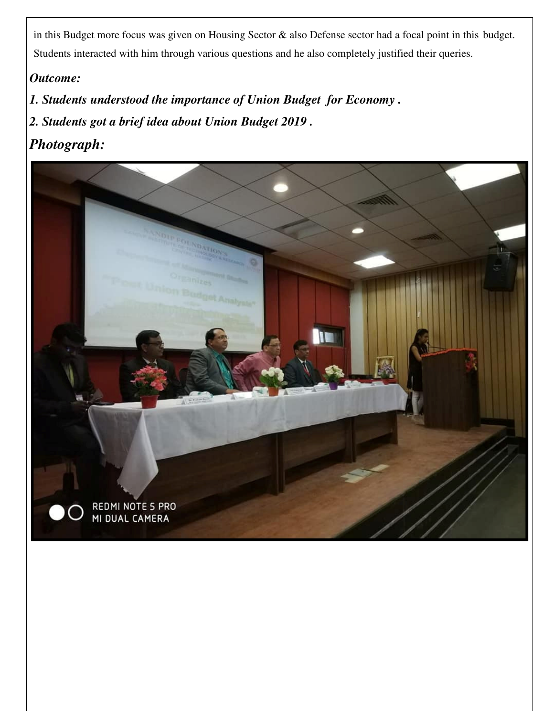in this Budget more focus was given on Housing Sector & also Defense sector had a focal point in this budget. Students interacted with him through various questions and he also completely justified their queries.

## *Outcome:*

*1. Students understood the importance of Union Budget for Economy .* 

*2. Students got a brief idea about Union Budget 2019 .* 

*Photograph:*